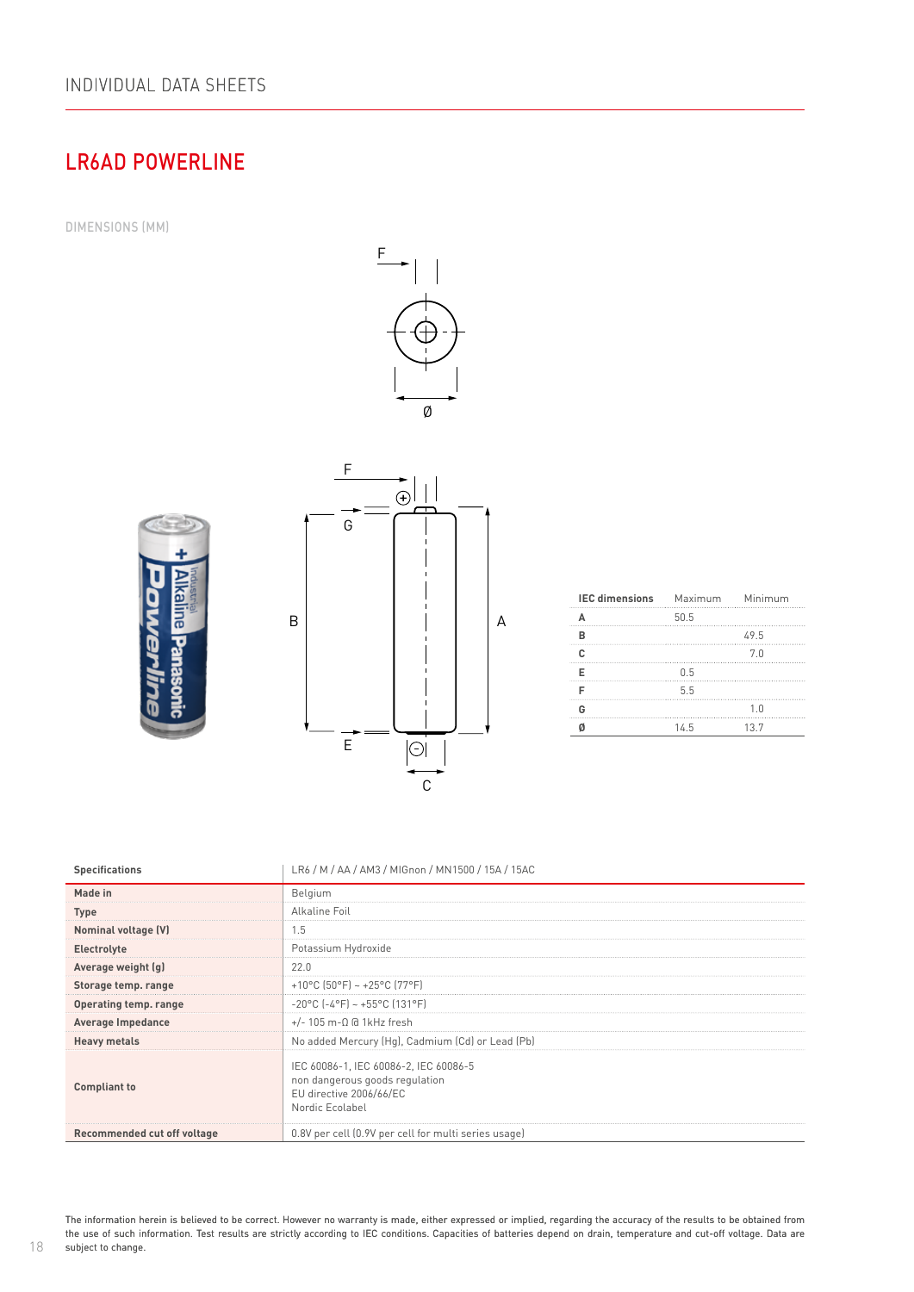# LR6AD POWERLINE

DIMENSIONS (MM)







| <b>IEC dimensions</b> Maximum Minimum |      |      |
|---------------------------------------|------|------|
|                                       | 50.5 |      |
| R                                     |      | 49.5 |
|                                       |      | 7.0  |
|                                       | 0.5  |      |
|                                       | 5.5  |      |
| G                                     |      | 1.0  |
|                                       | 14.5 | 13.7 |

| <b>Specifications</b>       | LR6 / M / AA / AM3 / MIGnon / MN1500 / 15A / 15AC                                                                     |
|-----------------------------|-----------------------------------------------------------------------------------------------------------------------|
| Made in                     | Belgium                                                                                                               |
| <b>Type</b>                 | Alkaline Foil                                                                                                         |
| Nominal voltage (V)         | 1.5                                                                                                                   |
| Electrolyte                 | Potassium Hydroxide                                                                                                   |
| Average weight (g)          | 22.0                                                                                                                  |
| Storage temp. range         | +10°C (50°F) ~ +25°C (77°F)                                                                                           |
| Operating temp. range       | $-20^{\circ}$ C $[-4^{\circ}$ F $] \sim +55^{\circ}$ C (131°F)                                                        |
| Average Impedance           | $+/- 105$ m- $\Omega$ @ 1kHz fresh                                                                                    |
| <b>Heavy metals</b>         | No added Mercury (Hg), Cadmium (Cd) or Lead (Pb)                                                                      |
| <b>Compliant to</b>         | IEC 60086-1, IEC 60086-2, IEC 60086-5<br>non dangerous goods regulation<br>EU directive 2006/66/EC<br>Nordic Ecolabel |
| Recommended cut off voltage | 0.8V per cell (0.9V per cell for multi series usage)                                                                  |

The information herein is believed to be correct. However no warranty is made, either expressed or implied, regarding the accuracy of the results to be obtained from the use of such information. Test results are strictly according to IEC conditions. Capacities of batteries depend on drain, temperature and cut-off voltage. Data are subject to change.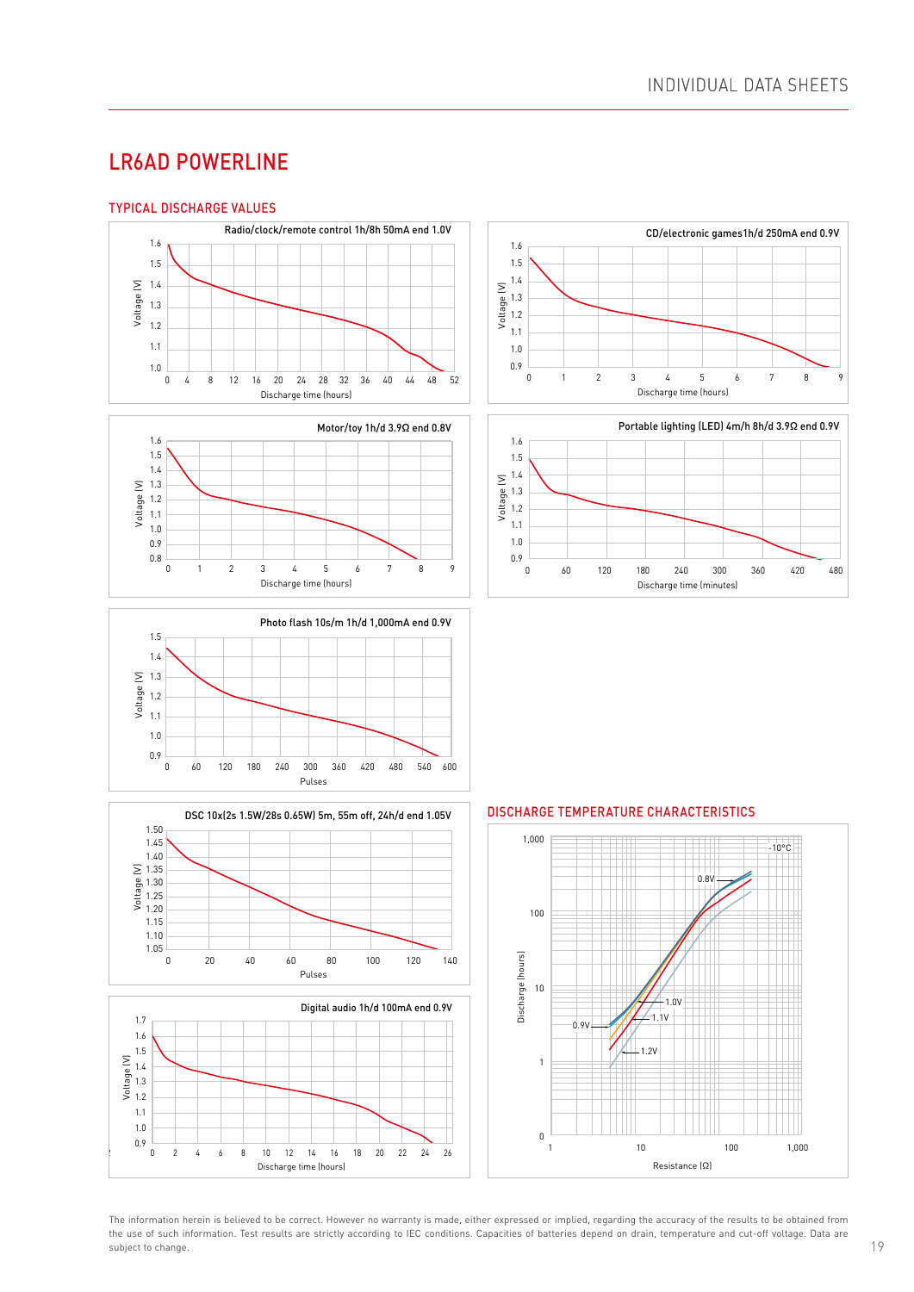#### LR6AD POWERLINE  $\blacksquare$

1.2

1.0

## TYPICAL DISCHARGE VALUES















#### 1.6 DISCHARGE TEMPERATURE CHARACTERISTICS



The information herein is believed to be correct. However no warranty is made, either expressed or implied, regarding the accuracy of the results to be obtained from the use of such information. Test results are strictly according to IEC conditions. Capacities of batteries depend on drain, temperature and cut-off voltage. Data are subject to change.

0.9 1.0 1.1 1.2 1.3 1.4 1.5 1.6

0.9 1.0 1.1 1.2 1.3 1.4 1.5 1.6

 $\mathcal{L}$ 1.1 1.2 1.3 1.4 1.5

0.9 1.0 1.1 1.2 1.3 1.4 1.5